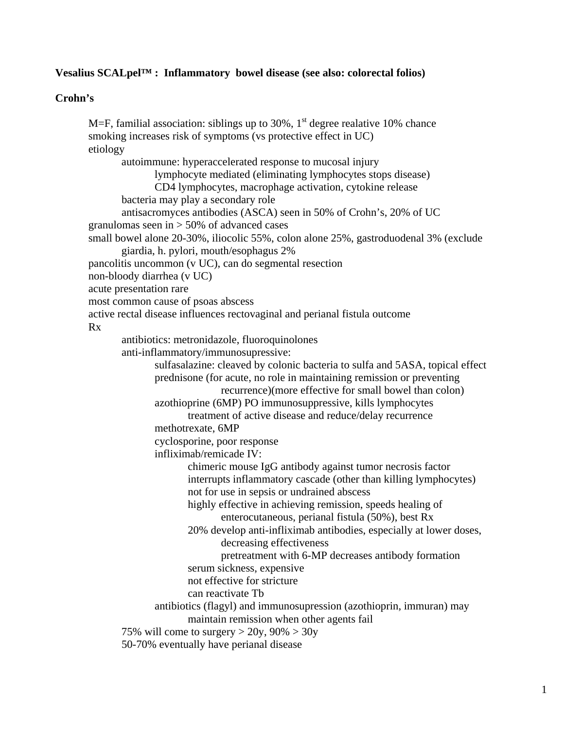# **Vesalius SCALpel™ : Inflammatory bowel disease (see also: colorectal folios)**

## **Crohn's**

M=F, familial association: siblings up to 30%,  $1<sup>st</sup>$  degree realative 10% chance smoking increases risk of symptoms (vs protective effect in UC) etiology autoimmune: hyperaccelerated response to mucosal injury lymphocyte mediated (eliminating lymphocytes stops disease) CD4 lymphocytes, macrophage activation, cytokine release bacteria may play a secondary role antisacromyces antibodies (ASCA) seen in 50% of Crohn's, 20% of UC granulomas seen in  $> 50\%$  of advanced cases small bowel alone 20-30%, iliocolic 55%, colon alone 25%, gastroduodenal 3% (exclude giardia, h. pylori, mouth/esophagus 2% pancolitis uncommon (v UC), can do segmental resection non-bloody diarrhea (v UC) acute presentation rare most common cause of psoas abscess active rectal disease influences rectovaginal and perianal fistula outcome Rx antibiotics: metronidazole, fluoroquinolones anti-inflammatory/immunosupressive: sulfasalazine: cleaved by colonic bacteria to sulfa and 5ASA, topical effect prednisone (for acute, no role in maintaining remission or preventing recurrence)(more effective for small bowel than colon) azothioprine (6MP) PO immunosuppressive, kills lymphocytes treatment of active disease and reduce/delay recurrence methotrexate, 6MP cyclosporine, poor response infliximab/remicade IV: chimeric mouse IgG antibody against tumor necrosis factor interrupts inflammatory cascade (other than killing lymphocytes) not for use in sepsis or undrained abscess highly effective in achieving remission, speeds healing of enterocutaneous, perianal fistula (50%), best Rx 20% develop anti-infliximab antibodies, especially at lower doses, decreasing effectiveness pretreatment with 6-MP decreases antibody formation serum sickness, expensive not effective for stricture can reactivate Tb antibiotics (flagyl) and immunosupression (azothioprin, immuran) may maintain remission when other agents fail 75% will come to surgery  $>$  20y, 90%  $>$  30y 50-70% eventually have perianal disease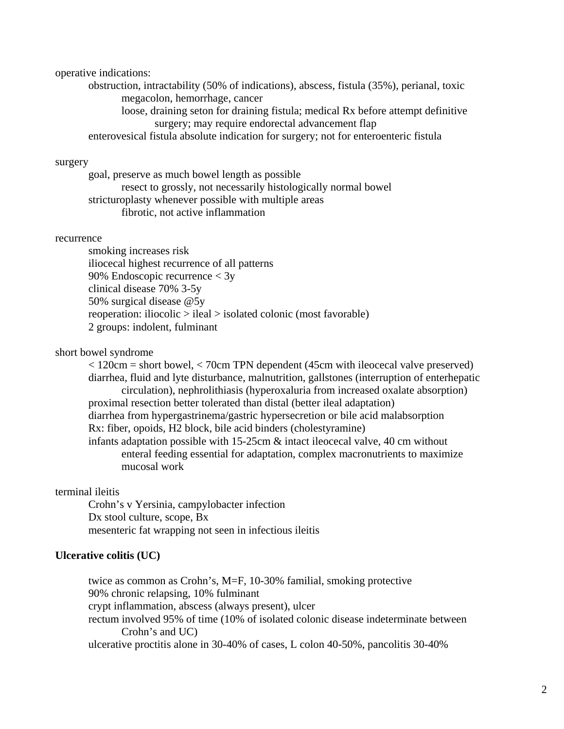#### operative indications:

 obstruction, intractability (50% of indications), abscess, fistula (35%), perianal, toxic megacolon, hemorrhage, cancer

 loose, draining seton for draining fistula; medical Rx before attempt definitive surgery; may require endorectal advancement flap

enterovesical fistula absolute indication for surgery; not for enteroenteric fistula

## surgery

 goal, preserve as much bowel length as possible resect to grossly, not necessarily histologically normal bowel stricturoplasty whenever possible with multiple areas fibrotic, not active inflammation

#### recurrence

 smoking increases risk iliocecal highest recurrence of all patterns 90% Endoscopic recurrence < 3y clinical disease 70% 3-5y 50% surgical disease @5y reoperation: iliocolic > ileal > isolated colonic (most favorable) 2 groups: indolent, fulminant

#### short bowel syndrome

 < 120cm = short bowel, < 70cm TPN dependent (45cm with ileocecal valve preserved) diarrhea, fluid and lyte disturbance, malnutrition, gallstones (interruption of enterhepatic circulation), nephrolithiasis (hyperoxaluria from increased oxalate absorption) proximal resection better tolerated than distal (better ileal adaptation) diarrhea from hypergastrinema/gastric hypersecretion or bile acid malabsorption Rx: fiber, opoids, H2 block, bile acid binders (cholestyramine) infants adaptation possible with  $15{\text -}25$ cm  $\&$  intact ileocecal valve, 40 cm without enteral feeding essential for adaptation, complex macronutrients to maximize mucosal work

### terminal ileitis

 Crohn's v Yersinia, campylobacter infection Dx stool culture, scope, Bx mesenteric fat wrapping not seen in infectious ileitis

#### **Ulcerative colitis (UC)**

 twice as common as Crohn's, M=F, 10-30% familial, smoking protective 90% chronic relapsing, 10% fulminant crypt inflammation, abscess (always present), ulcer rectum involved 95% of time (10% of isolated colonic disease indeterminate between Crohn's and UC) ulcerative proctitis alone in 30-40% of cases, L colon 40-50%, pancolitis 30-40%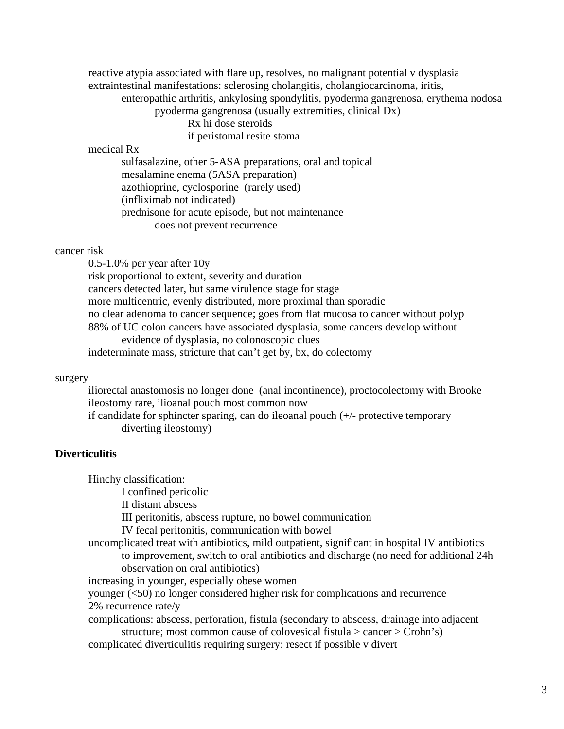reactive atypia associated with flare up, resolves, no malignant potential v dysplasia extraintestinal manifestations: sclerosing cholangitis, cholangiocarcinoma, iritis, enteropathic arthritis, ankylosing spondylitis, pyoderma gangrenosa, erythema nodosa pyoderma gangrenosa (usually extremities, clinical Dx) Rx hi dose steroids

if peristomal resite stoma

### medical Rx

 sulfasalazine, other 5-ASA preparations, oral and topical mesalamine enema (5ASA preparation) azothioprine, cyclosporine (rarely used) (infliximab not indicated) prednisone for acute episode, but not maintenance does not prevent recurrence

#### cancer risk

 0.5-1.0% per year after 10y risk proportional to extent, severity and duration cancers detected later, but same virulence stage for stage more multicentric, evenly distributed, more proximal than sporadic no clear adenoma to cancer sequence; goes from flat mucosa to cancer without polyp 88% of UC colon cancers have associated dysplasia, some cancers develop without evidence of dysplasia, no colonoscopic clues indeterminate mass, stricture that can't get by, bx, do colectomy

#### surgery

 iliorectal anastomosis no longer done (anal incontinence), proctocolectomy with Brooke ileostomy rare, ilioanal pouch most common now if candidate for sphincter sparing, can do ileoanal pouch (+/- protective temporary diverting ileostomy)

## **Diverticulitis**

Hinchy classification:

I confined pericolic

II distant abscess

III peritonitis, abscess rupture, no bowel communication

IV fecal peritonitis, communication with bowel

 uncomplicated treat with antibiotics, mild outpatient, significant in hospital IV antibiotics to improvement, switch to oral antibiotics and discharge (no need for additional 24h observation on oral antibiotics)

increasing in younger, especially obese women

 younger (<50) no longer considered higher risk for complications and recurrence 2% recurrence rate/y

 complications: abscess, perforation, fistula (secondary to abscess, drainage into adjacent structure; most common cause of colovesical fistula > cancer > Crohn's)

complicated diverticulitis requiring surgery: resect if possible v divert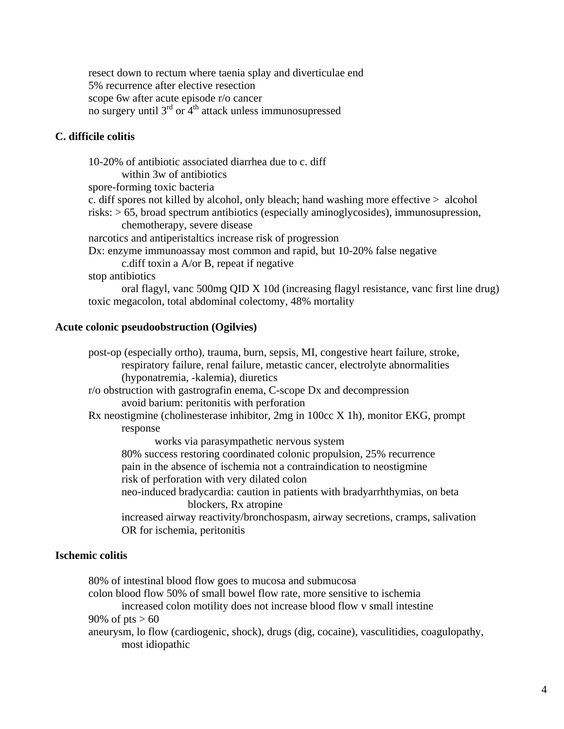resect down to rectum where taenia splay and diverticulae end 5% recurrence after elective resection scope 6w after acute episode r/o cancer no surgery until  $3<sup>rd</sup>$  or  $4<sup>th</sup>$  attack unless immunosupressed

# **C. difficile colitis**

 10-20% of antibiotic associated diarrhea due to c. diff within 3w of antibiotics spore-forming toxic bacteria c. diff spores not killed by alcohol, only bleach; hand washing more effective > alcohol risks: > 65, broad spectrum antibiotics (especially aminoglycosides), immunosupression, chemotherapy, severe disease narcotics and antiperistaltics increase risk of progression Dx: enzyme immunoassay most common and rapid, but 10-20% false negative c.diff toxin a A/or B, repeat if negative stop antibiotics oral flagyl, vanc 500mg QID X 10d (increasing flagyl resistance, vanc first line drug) toxic megacolon, total abdominal colectomy, 48% mortality

#### **Acute colonic pseudoobstruction (Ogilvies)**

 post-op (especially ortho), trauma, burn, sepsis, MI, congestive heart failure, stroke, respiratory failure, renal failure, metastic cancer, electrolyte abnormalities (hyponatremia, -kalemia), diuretics r/o obstruction with gastrografin enema, C-scope Dx and decompression avoid barium: peritonitis with perforation Rx neostigmine (cholinesterase inhibitor, 2mg in 100cc X 1h), monitor EKG, prompt response works via parasympathetic nervous system 80% success restoring coordinated colonic propulsion, 25% recurrence pain in the absence of ischemia not a contraindication to neostigmine risk of perforation with very dilated colon neo-induced bradycardia: caution in patients with bradyarrhthymias, on beta blockers, Rx atropine increased airway reactivity/bronchospasm, airway secretions, cramps, salivation OR for ischemia, peritonitis

### **Ischemic colitis**

 80% of intestinal blood flow goes to mucosa and submucosa colon blood flow 50% of small bowel flow rate, more sensitive to ischemia increased colon motility does not increase blood flow v small intestine 90% of  $pts > 60$  aneurysm, lo flow (cardiogenic, shock), drugs (dig, cocaine), vasculitidies, coagulopathy, most idiopathic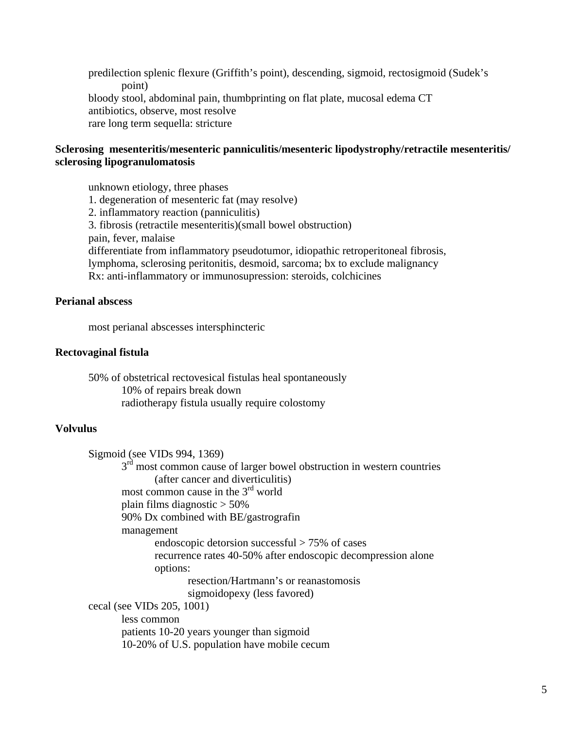predilection splenic flexure (Griffith's point), descending, sigmoid, rectosigmoid (Sudek's point) bloody stool, abdominal pain, thumbprinting on flat plate, mucosal edema CT antibiotics, observe, most resolve rare long term sequella: stricture

# **Sclerosing mesenteritis/mesenteric panniculitis/mesenteric lipodystrophy/retractile mesenteritis/ sclerosing lipogranulomatosis**

 unknown etiology, three phases 1. degeneration of mesenteric fat (may resolve) 2. inflammatory reaction (panniculitis) 3. fibrosis (retractile mesenteritis)(small bowel obstruction) pain, fever, malaise differentiate from inflammatory pseudotumor, idiopathic retroperitoneal fibrosis, lymphoma, sclerosing peritonitis, desmoid, sarcoma; bx to exclude malignancy Rx: anti-inflammatory or immunosupression: steroids, colchicines

# **Perianal abscess**

most perianal abscesses intersphincteric

#### **Rectovaginal fistula**

 50% of obstetrical rectovesical fistulas heal spontaneously 10% of repairs break down radiotherapy fistula usually require colostomy

### **Volvulus**

 Sigmoid (see VIDs 994, 1369)  $3<sup>rd</sup>$  most common cause of larger bowel obstruction in western countries (after cancer and diverticulitis) most common cause in the 3<sup>rd</sup> world plain films diagnostic > 50% 90% Dx combined with BE/gastrografin management endoscopic detorsion successful > 75% of cases recurrence rates 40-50% after endoscopic decompression alone options: resection/Hartmann's or reanastomosis sigmoidopexy (less favored) cecal (see VIDs 205, 1001) less common patients 10-20 years younger than sigmoid 10-20% of U.S. population have mobile cecum